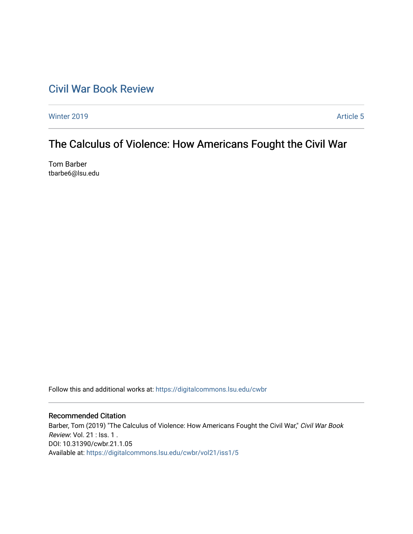## [Civil War Book Review](https://digitalcommons.lsu.edu/cwbr)

[Winter 2019](https://digitalcommons.lsu.edu/cwbr/vol21/iss1) **Article 5** 

# The Calculus of Violence: How Americans Fought the Civil War

Tom Barber tbarbe6@lsu.edu

Follow this and additional works at: [https://digitalcommons.lsu.edu/cwbr](https://digitalcommons.lsu.edu/cwbr?utm_source=digitalcommons.lsu.edu%2Fcwbr%2Fvol21%2Fiss1%2F5&utm_medium=PDF&utm_campaign=PDFCoverPages) 

### Recommended Citation

Barber, Tom (2019) "The Calculus of Violence: How Americans Fought the Civil War," Civil War Book Review: Vol. 21 : Iss. 1 . DOI: 10.31390/cwbr.21.1.05 Available at: [https://digitalcommons.lsu.edu/cwbr/vol21/iss1/5](https://digitalcommons.lsu.edu/cwbr/vol21/iss1/5?utm_source=digitalcommons.lsu.edu%2Fcwbr%2Fvol21%2Fiss1%2F5&utm_medium=PDF&utm_campaign=PDFCoverPages)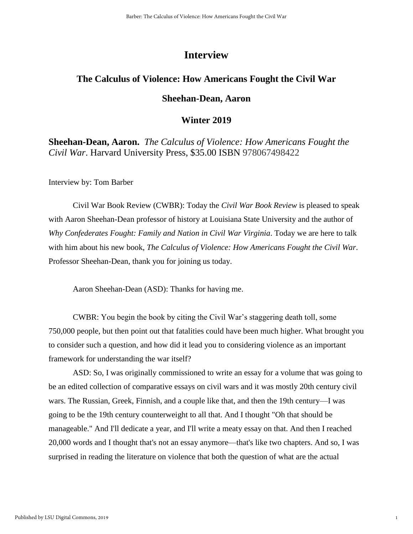## **Interview**

# **The Calculus of Violence: How Americans Fought the Civil War Sheehan-Dean, Aaron**

### **Winter 2019**

**Sheehan-Dean, Aaron.** *The Calculus of Violence: How Americans Fought the Civil War*. Harvard University Press, \$35.00 ISBN 978067498422

Interview by: Tom Barber

Civil War Book Review (CWBR): Today the *Civil War Book Review* is pleased to speak with Aaron Sheehan-Dean professor of history at Louisiana State University and the author of *Why Confederates Fought: Family and Nation in Civil War Virginia*. Today we are here to talk with him about his new book, *The Calculus of Violence: How Americans Fought the Civil War*. Professor Sheehan-Dean, thank you for joining us today.

Aaron Sheehan-Dean (ASD): Thanks for having me.

CWBR: You begin the book by citing the Civil War's staggering death toll, some 750,000 people, but then point out that fatalities could have been much higher. What brought you to consider such a question, and how did it lead you to considering violence as an important framework for understanding the war itself?

ASD: So, I was originally commissioned to write an essay for a volume that was going to be an edited collection of comparative essays on civil wars and it was mostly 20th century civil wars. The Russian, Greek, Finnish, and a couple like that, and then the 19th century—I was going to be the 19th century counterweight to all that. And I thought "Oh that should be manageable." And I'll dedicate a year, and I'll write a meaty essay on that. And then I reached 20,000 words and I thought that's not an essay anymore—that's like two chapters. And so, I was surprised in reading the literature on violence that both the question of what are the actual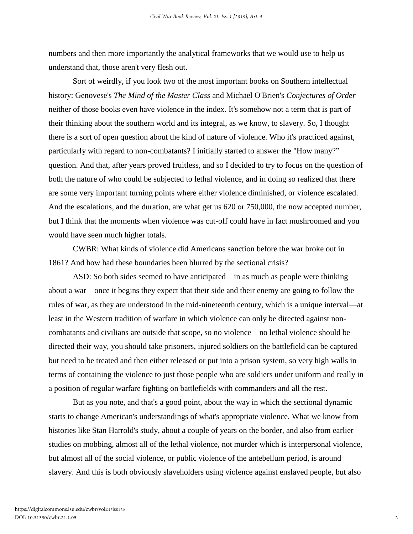numbers and then more importantly the analytical frameworks that we would use to help us understand that, those aren't very flesh out.

Sort of weirdly, if you look two of the most important books on Southern intellectual history: Genovese's *The Mind of the Master Class* and Michael O'Brien's *Conjectures of Order* neither of those books even have violence in the index. It's somehow not a term that is part of their thinking about the southern world and its integral, as we know, to slavery. So, I thought there is a sort of open question about the kind of nature of violence. Who it's practiced against, particularly with regard to non-combatants? I initially started to answer the "How many?" question. And that, after years proved fruitless, and so I decided to try to focus on the question of both the nature of who could be subjected to lethal violence, and in doing so realized that there are some very important turning points where either violence diminished, or violence escalated. And the escalations, and the duration, are what get us 620 or 750,000, the now accepted number, but I think that the moments when violence was cut-off could have in fact mushroomed and you would have seen much higher totals.

CWBR: What kinds of violence did Americans sanction before the war broke out in 1861? And how had these boundaries been blurred by the sectional crisis?

ASD: So both sides seemed to have anticipated—in as much as people were thinking about a war—once it begins they expect that their side and their enemy are going to follow the rules of war, as they are understood in the mid-nineteenth century, which is a unique interval—at least in the Western tradition of warfare in which violence can only be directed against noncombatants and civilians are outside that scope, so no violence—no lethal violence should be directed their way, you should take prisoners, injured soldiers on the battlefield can be captured but need to be treated and then either released or put into a prison system, so very high walls in terms of containing the violence to just those people who are soldiers under uniform and really in a position of regular warfare fighting on battlefields with commanders and all the rest.

But as you note, and that's a good point, about the way in which the sectional dynamic starts to change American's understandings of what's appropriate violence. What we know from histories like Stan Harrold's study, about a couple of years on the border, and also from earlier studies on mobbing, almost all of the lethal violence, not murder which is interpersonal violence, but almost all of the social violence, or public violence of the antebellum period, is around slavery. And this is both obviously slaveholders using violence against enslaved people, but also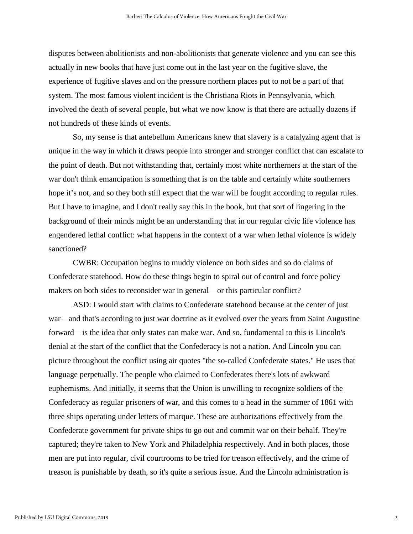disputes between abolitionists and non-abolitionists that generate violence and you can see this actually in new books that have just come out in the last year on the fugitive slave, the experience of fugitive slaves and on the pressure northern places put to not be a part of that system. The most famous violent incident is the Christiana Riots in Pennsylvania, which involved the death of several people, but what we now know is that there are actually dozens if not hundreds of these kinds of events.

So, my sense is that antebellum Americans knew that slavery is a catalyzing agent that is unique in the way in which it draws people into stronger and stronger conflict that can escalate to the point of death. But not withstanding that, certainly most white northerners at the start of the war don't think emancipation is something that is on the table and certainly white southerners hope it's not, and so they both still expect that the war will be fought according to regular rules. But I have to imagine, and I don't really say this in the book, but that sort of lingering in the background of their minds might be an understanding that in our regular civic life violence has engendered lethal conflict: what happens in the context of a war when lethal violence is widely sanctioned?

CWBR: Occupation begins to muddy violence on both sides and so do claims of Confederate statehood. How do these things begin to spiral out of control and force policy makers on both sides to reconsider war in general—or this particular conflict?

ASD: I would start with claims to Confederate statehood because at the center of just war—and that's according to just war doctrine as it evolved over the years from Saint Augustine forward—is the idea that only states can make war. And so, fundamental to this is Lincoln's denial at the start of the conflict that the Confederacy is not a nation. And Lincoln you can picture throughout the conflict using air quotes "the so-called Confederate states." He uses that language perpetually. The people who claimed to Confederates there's lots of awkward euphemisms. And initially, it seems that the Union is unwilling to recognize soldiers of the Confederacy as regular prisoners of war, and this comes to a head in the summer of 1861 with three ships operating under letters of marque. These are authorizations effectively from the Confederate government for private ships to go out and commit war on their behalf. They're captured; they're taken to New York and Philadelphia respectively. And in both places, those men are put into regular, civil courtrooms to be tried for treason effectively, and the crime of treason is punishable by death, so it's quite a serious issue. And the Lincoln administration is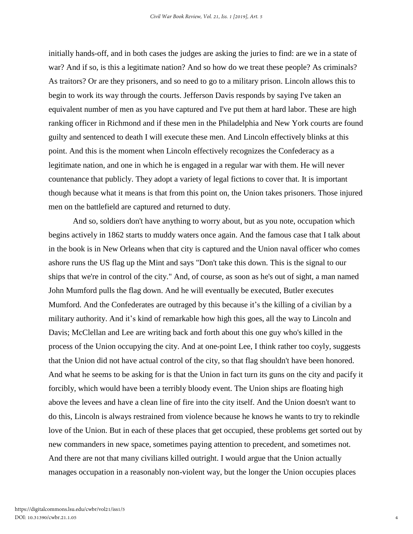initially hands-off, and in both cases the judges are asking the juries to find: are we in a state of war? And if so, is this a legitimate nation? And so how do we treat these people? As criminals? As traitors? Or are they prisoners, and so need to go to a military prison. Lincoln allows this to begin to work its way through the courts. Jefferson Davis responds by saying I've taken an equivalent number of men as you have captured and I've put them at hard labor. These are high ranking officer in Richmond and if these men in the Philadelphia and New York courts are found guilty and sentenced to death I will execute these men. And Lincoln effectively blinks at this point. And this is the moment when Lincoln effectively recognizes the Confederacy as a legitimate nation, and one in which he is engaged in a regular war with them. He will never countenance that publicly. They adopt a variety of legal fictions to cover that. It is important though because what it means is that from this point on, the Union takes prisoners. Those injured men on the battlefield are captured and returned to duty.

And so, soldiers don't have anything to worry about, but as you note, occupation which begins actively in 1862 starts to muddy waters once again. And the famous case that I talk about in the book is in New Orleans when that city is captured and the Union naval officer who comes ashore runs the US flag up the Mint and says "Don't take this down. This is the signal to our ships that we're in control of the city." And, of course, as soon as he's out of sight, a man named John Mumford pulls the flag down. And he will eventually be executed, Butler executes Mumford. And the Confederates are outraged by this because it's the killing of a civilian by a military authority. And it's kind of remarkable how high this goes, all the way to Lincoln and Davis; McClellan and Lee are writing back and forth about this one guy who's killed in the process of the Union occupying the city. And at one-point Lee, I think rather too coyly, suggests that the Union did not have actual control of the city, so that flag shouldn't have been honored. And what he seems to be asking for is that the Union in fact turn its guns on the city and pacify it forcibly, which would have been a terribly bloody event. The Union ships are floating high above the levees and have a clean line of fire into the city itself. And the Union doesn't want to do this, Lincoln is always restrained from violence because he knows he wants to try to rekindle love of the Union. But in each of these places that get occupied, these problems get sorted out by new commanders in new space, sometimes paying attention to precedent, and sometimes not. And there are not that many civilians killed outright. I would argue that the Union actually manages occupation in a reasonably non-violent way, but the longer the Union occupies places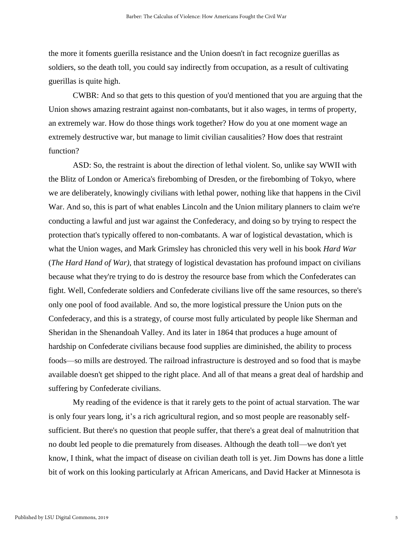the more it foments guerilla resistance and the Union doesn't in fact recognize guerillas as soldiers, so the death toll, you could say indirectly from occupation, as a result of cultivating guerillas is quite high.

CWBR: And so that gets to this question of you'd mentioned that you are arguing that the Union shows amazing restraint against non-combatants, but it also wages, in terms of property, an extremely war. How do those things work together? How do you at one moment wage an extremely destructive war, but manage to limit civilian causalities? How does that restraint function?

ASD: So, the restraint is about the direction of lethal violent. So, unlike say WWII with the Blitz of London or America's firebombing of Dresden, or the firebombing of Tokyo, where we are deliberately, knowingly civilians with lethal power, nothing like that happens in the Civil War. And so, this is part of what enables Lincoln and the Union military planners to claim we're conducting a lawful and just war against the Confederacy, and doing so by trying to respect the protection that's typically offered to non-combatants. A war of logistical devastation, which is what the Union wages, and Mark Grimsley has chronicled this very well in his book *Hard War* (*The Hard Hand of War)*, that strategy of logistical devastation has profound impact on civilians because what they're trying to do is destroy the resource base from which the Confederates can fight. Well, Confederate soldiers and Confederate civilians live off the same resources, so there's only one pool of food available. And so, the more logistical pressure the Union puts on the Confederacy, and this is a strategy, of course most fully articulated by people like Sherman and Sheridan in the Shenandoah Valley. And its later in 1864 that produces a huge amount of hardship on Confederate civilians because food supplies are diminished, the ability to process foods—so mills are destroyed. The railroad infrastructure is destroyed and so food that is maybe available doesn't get shipped to the right place. And all of that means a great deal of hardship and suffering by Confederate civilians.

My reading of the evidence is that it rarely gets to the point of actual starvation. The war is only four years long, it's a rich agricultural region, and so most people are reasonably selfsufficient. But there's no question that people suffer, that there's a great deal of malnutrition that no doubt led people to die prematurely from diseases. Although the death toll—we don't yet know, I think, what the impact of disease on civilian death toll is yet. Jim Downs has done a little bit of work on this looking particularly at African Americans, and David Hacker at Minnesota is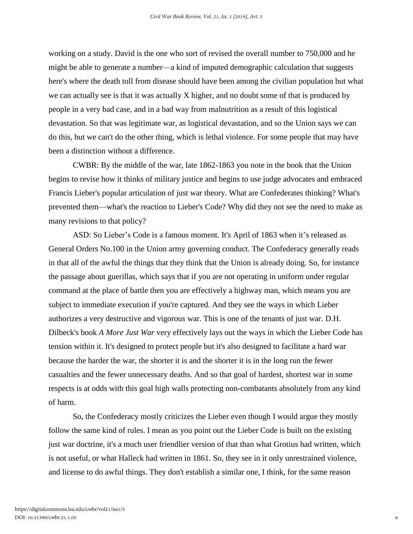working on a study. David is the one who sort of revised the overall number to 750,000 and he might be able to generate a number—a kind of imputed demographic calculation that suggests here's where the death toll from disease should have been among the civilian population but what we can actually see is that it was actually X higher, and no doubt some of that is produced by people in a very bad case, and in a bad way from malnutrition as a result of this logistical devastation. So that was legitimate war, as logistical devastation, and so the Union says we can do this, but we can't do the other thing, which is lethal violence. For some people that may have been a distinction without a difference.

CWBR: By the middle of the war, late 1862-1863 you note in the book that the Union begins to revise how it thinks of military justice and begins to use judge advocates and embraced Francis Lieber's popular articulation of just war theory. What are Confederates thinking? What's prevented them—what's the reaction to Lieber's Code? Why did they not see the need to make as many revisions to that policy?

ASD: So Lieber's Code is a famous moment. It's April of 1863 when it's released as General Orders No.100 in the Union army governing conduct. The Confederacy generally reads in that all of the awful the things that they think that the Union is already doing. So, for instance the passage about guerillas, which says that if you are not operating in uniform under regular command at the place of battle then you are effectively a highway man, which means you are subject to immediate execution if you're captured. And they see the ways in which Lieber authorizes a very destructive and vigorous war. This is one of the tenants of just war. D.H. Dilbeck's book *A More Just War* very effectively lays out the ways in which the Lieber Code has tension within it. It's designed to protect people but it's also designed to facilitate a hard war because the harder the war, the shorter it is and the shorter it is in the long run the fewer casualties and the fewer unnecessary deaths. And so that goal of hardest, shortest war in some respects is at odds with this goal high walls protecting non-combatants absolutely from any kind of harm.

So, the Confederacy mostly criticizes the Lieber even though I would argue they mostly follow the same kind of rules. I mean as you point out the Lieber Code is built on the existing just war doctrine, it's a much user friendlier version of that than what Grotius had written, which is not useful, or what Halleck had written in 1861. So, they see in it only unrestrained violence, and license to do awful things. They don't establish a similar one, I think, for the same reason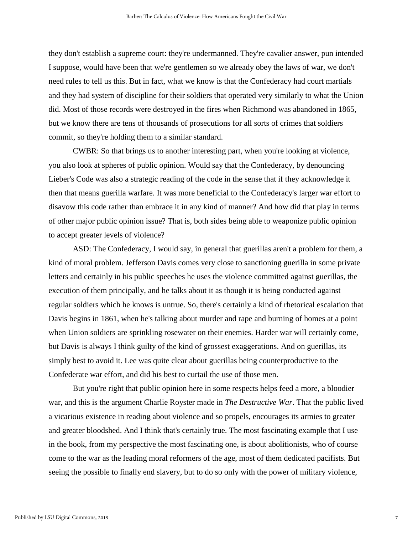they don't establish a supreme court: they're undermanned. They're cavalier answer, pun intended I suppose, would have been that we're gentlemen so we already obey the laws of war, we don't need rules to tell us this. But in fact, what we know is that the Confederacy had court martials and they had system of discipline for their soldiers that operated very similarly to what the Union did. Most of those records were destroyed in the fires when Richmond was abandoned in 1865, but we know there are tens of thousands of prosecutions for all sorts of crimes that soldiers commit, so they're holding them to a similar standard.

CWBR: So that brings us to another interesting part, when you're looking at violence, you also look at spheres of public opinion. Would say that the Confederacy, by denouncing Lieber's Code was also a strategic reading of the code in the sense that if they acknowledge it then that means guerilla warfare. It was more beneficial to the Confederacy's larger war effort to disavow this code rather than embrace it in any kind of manner? And how did that play in terms of other major public opinion issue? That is, both sides being able to weaponize public opinion to accept greater levels of violence?

ASD: The Confederacy, I would say, in general that guerillas aren't a problem for them, a kind of moral problem. Jefferson Davis comes very close to sanctioning guerilla in some private letters and certainly in his public speeches he uses the violence committed against guerillas, the execution of them principally, and he talks about it as though it is being conducted against regular soldiers which he knows is untrue. So, there's certainly a kind of rhetorical escalation that Davis begins in 1861, when he's talking about murder and rape and burning of homes at a point when Union soldiers are sprinkling rosewater on their enemies. Harder war will certainly come, but Davis is always I think guilty of the kind of grossest exaggerations. And on guerillas, its simply best to avoid it. Lee was quite clear about guerillas being counterproductive to the Confederate war effort, and did his best to curtail the use of those men.

But you're right that public opinion here in some respects helps feed a more, a bloodier war, and this is the argument Charlie Royster made in *The Destructive War*. That the public lived a vicarious existence in reading about violence and so propels, encourages its armies to greater and greater bloodshed. And I think that's certainly true. The most fascinating example that I use in the book, from my perspective the most fascinating one, is about abolitionists, who of course come to the war as the leading moral reformers of the age, most of them dedicated pacifists. But seeing the possible to finally end slavery, but to do so only with the power of military violence,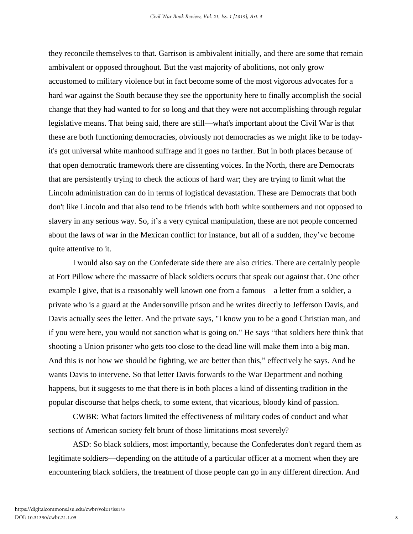they reconcile themselves to that. Garrison is ambivalent initially, and there are some that remain ambivalent or opposed throughout. But the vast majority of abolitions, not only grow accustomed to military violence but in fact become some of the most vigorous advocates for a hard war against the South because they see the opportunity here to finally accomplish the social change that they had wanted to for so long and that they were not accomplishing through regular legislative means. That being said, there are still—what's important about the Civil War is that these are both functioning democracies, obviously not democracies as we might like to be todayit's got universal white manhood suffrage and it goes no farther. But in both places because of that open democratic framework there are dissenting voices. In the North, there are Democrats that are persistently trying to check the actions of hard war; they are trying to limit what the Lincoln administration can do in terms of logistical devastation. These are Democrats that both don't like Lincoln and that also tend to be friends with both white southerners and not opposed to slavery in any serious way. So, it's a very cynical manipulation, these are not people concerned about the laws of war in the Mexican conflict for instance, but all of a sudden, they've become quite attentive to it.

I would also say on the Confederate side there are also critics. There are certainly people at Fort Pillow where the massacre of black soldiers occurs that speak out against that. One other example I give, that is a reasonably well known one from a famous—a letter from a soldier, a private who is a guard at the Andersonville prison and he writes directly to Jefferson Davis, and Davis actually sees the letter. And the private says, "I know you to be a good Christian man, and if you were here, you would not sanction what is going on." He says "that soldiers here think that shooting a Union prisoner who gets too close to the dead line will make them into a big man. And this is not how we should be fighting, we are better than this," effectively he says. And he wants Davis to intervene. So that letter Davis forwards to the War Department and nothing happens, but it suggests to me that there is in both places a kind of dissenting tradition in the popular discourse that helps check, to some extent, that vicarious, bloody kind of passion.

CWBR: What factors limited the effectiveness of military codes of conduct and what sections of American society felt brunt of those limitations most severely?

ASD: So black soldiers, most importantly, because the Confederates don't regard them as legitimate soldiers—depending on the attitude of a particular officer at a moment when they are encountering black soldiers, the treatment of those people can go in any different direction. And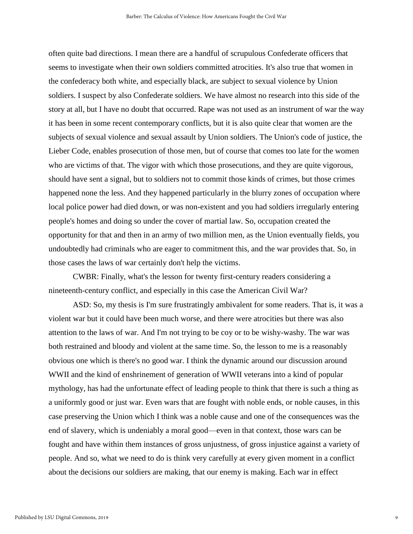often quite bad directions. I mean there are a handful of scrupulous Confederate officers that seems to investigate when their own soldiers committed atrocities. It's also true that women in the confederacy both white, and especially black, are subject to sexual violence by Union soldiers. I suspect by also Confederate soldiers. We have almost no research into this side of the story at all, but I have no doubt that occurred. Rape was not used as an instrument of war the way it has been in some recent contemporary conflicts, but it is also quite clear that women are the subjects of sexual violence and sexual assault by Union soldiers. The Union's code of justice, the Lieber Code, enables prosecution of those men, but of course that comes too late for the women who are victims of that. The vigor with which those prosecutions, and they are quite vigorous, should have sent a signal, but to soldiers not to commit those kinds of crimes, but those crimes happened none the less. And they happened particularly in the blurry zones of occupation where local police power had died down, or was non-existent and you had soldiers irregularly entering people's homes and doing so under the cover of martial law. So, occupation created the opportunity for that and then in an army of two million men, as the Union eventually fields, you undoubtedly had criminals who are eager to commitment this, and the war provides that. So, in those cases the laws of war certainly don't help the victims.

CWBR: Finally, what's the lesson for twenty first-century readers considering a nineteenth-century conflict, and especially in this case the American Civil War?

ASD: So, my thesis is I'm sure frustratingly ambivalent for some readers. That is, it was a violent war but it could have been much worse, and there were atrocities but there was also attention to the laws of war. And I'm not trying to be coy or to be wishy-washy. The war was both restrained and bloody and violent at the same time. So, the lesson to me is a reasonably obvious one which is there's no good war. I think the dynamic around our discussion around WWII and the kind of enshrinement of generation of WWII veterans into a kind of popular mythology, has had the unfortunate effect of leading people to think that there is such a thing as a uniformly good or just war. Even wars that are fought with noble ends, or noble causes, in this case preserving the Union which I think was a noble cause and one of the consequences was the end of slavery, which is undeniably a moral good—even in that context, those wars can be fought and have within them instances of gross unjustness, of gross injustice against a variety of people. And so, what we need to do is think very carefully at every given moment in a conflict about the decisions our soldiers are making, that our enemy is making. Each war in effect